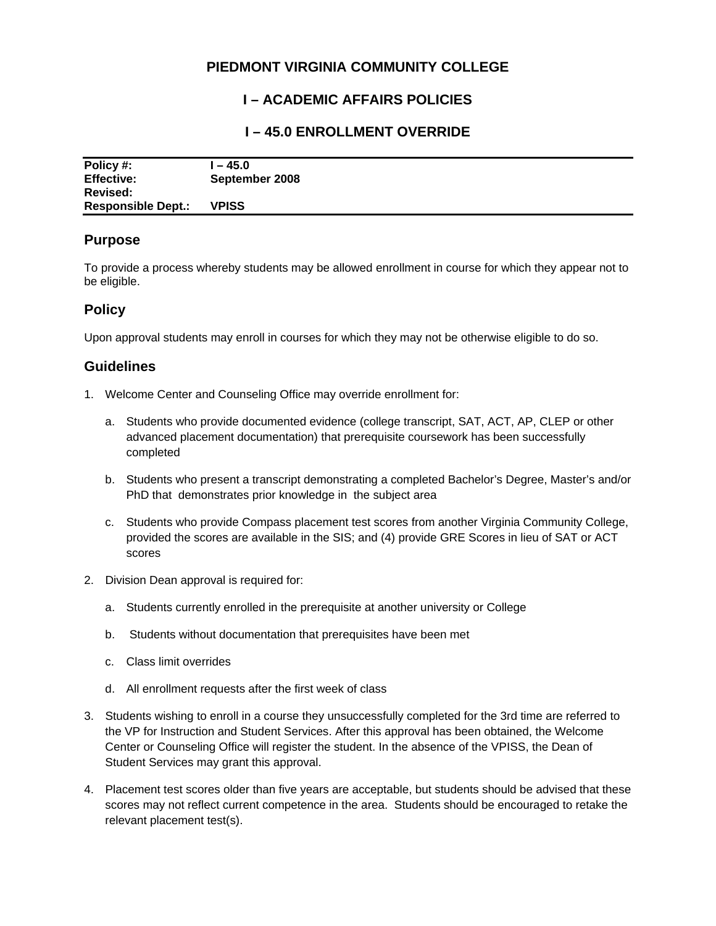# **PIEDMONT VIRGINIA COMMUNITY COLLEGE**

## **I – ACADEMIC AFFAIRS POLICIES**

### **I – 45.0 ENROLLMENT OVERRIDE**

| Policy #:                 | $-45.0$        |
|---------------------------|----------------|
| <b>Effective:</b>         | September 2008 |
| Revised:                  |                |
| <b>Responsible Dept.:</b> | <b>VPISS</b>   |

#### **Purpose**

To provide a process whereby students may be allowed enrollment in course for which they appear not to be eligible.

## **Policy**

Upon approval students may enroll in courses for which they may not be otherwise eligible to do so.

## **Guidelines**

- 1. Welcome Center and Counseling Office may override enrollment for:
	- a. Students who provide documented evidence (college transcript, SAT, ACT, AP, CLEP or other advanced placement documentation) that prerequisite coursework has been successfully completed
	- b. Students who present a transcript demonstrating a completed Bachelor's Degree, Master's and/or PhD that demonstrates prior knowledge in the subject area
	- c. Students who provide Compass placement test scores from another Virginia Community College, provided the scores are available in the SIS; and (4) provide GRE Scores in lieu of SAT or ACT scores
- 2. Division Dean approval is required for:
	- a. Students currently enrolled in the prerequisite at another university or College
	- b. Students without documentation that prerequisites have been met
	- c. Class limit overrides
	- d. All enrollment requests after the first week of class
- 3. Students wishing to enroll in a course they unsuccessfully completed for the 3rd time are referred to the VP for Instruction and Student Services. After this approval has been obtained, the Welcome Center or Counseling Office will register the student. In the absence of the VPISS, the Dean of Student Services may grant this approval.
- 4. Placement test scores older than five years are acceptable, but students should be advised that these scores may not reflect current competence in the area. Students should be encouraged to retake the relevant placement test(s).